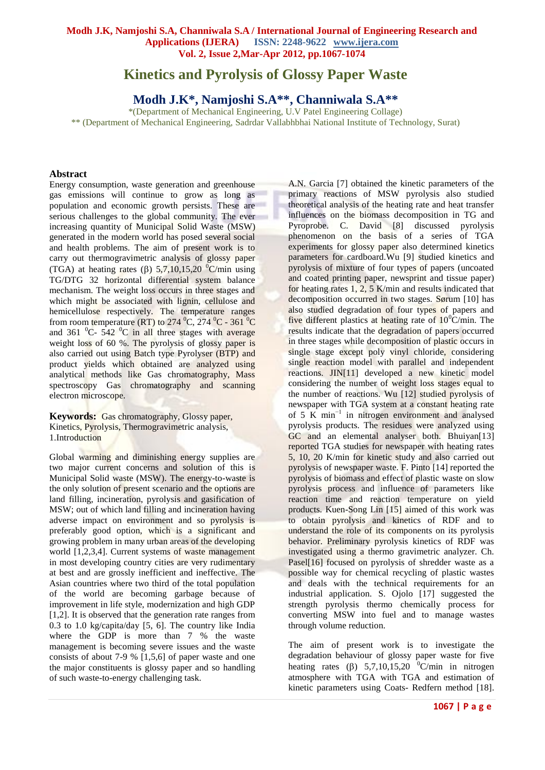# **Kinetics and Pyrolysis of Glossy Paper Waste**

**Modh J.K\*, Namjoshi S.A\*\* , Channiwala S.A\*\***

\*(Department of Mechanical Engineering, U.V Patel Engineering Collage) \*\* (Department of Mechanical Engineering, Sadrdar Vallabhbhai National Institute of Technology, Surat)

### **Abstract**

Energy consumption, waste generation and greenhouse gas emissions will continue to grow as long as population and economic growth persists. These are serious challenges to the global community. The ever increasing quantity of Municipal Solid Waste (MSW) generated in the modern world has posed several social and health problems. The aim of present work is to carry out thermogravimetric analysis of glossy paper (TGA) at heating rates ( $\beta$ ) 5,7,10,15,20 <sup>0</sup>C/min using TG/DTG 32 horizontal differential system balance mechanism. The weight loss occurs in three stages and which might be associated with lignin, cellulose and hemicellulose respectively. The temperature ranges from room temperature (RT) to 274  $^0C$ , 274  $^0C$  - 361  $^0C$ and  $361 \text{ °C}$ -  $542 \text{ °C}$  in all three stages with average weight loss of 60 %. The pyrolysis of glossy paper is also carried out using Batch type Pyrolyser (BTP) and product yields which obtained are analyzed using analytical methods like Gas chromatography, Mass spectroscopy Gas chromatography and scanning electron microscope.

**Keywords:** Gas chromatography, Glossy paper, Kinetics, Pyrolysis, Thermogravimetric analysis, 1.Introduction

Global warming and diminishing energy supplies are two major current concerns and solution of this is Municipal Solid waste (MSW). The energy-to-waste is the only solution of present scenario and the options are land filling, incineration, pyrolysis and gasification of MSW; out of which land filling and incineration having adverse impact on environment and so pyrolysis is preferably good option, which is a significant and growing problem in many urban areas of the developing world [1,2,3,4]. Current systems of waste management in most developing country cities are very rudimentary at best and are grossly inefficient and ineffective. The Asian countries where two third of the total population of the world are becoming garbage because of improvement in life style, modernization and high GDP [1,2]. It is observed that the generation rate ranges from 0.3 to 1.0 kg/capita/day [5, 6]. The country like India where the GDP is more than 7 % the waste management is becoming severe issues and the waste consists of about 7-9 % [1,5,6] of paper waste and one the major constituents is glossy paper and so handling of such waste-to-energy challenging task.

A.N. Garcia [7] obtained the kinetic parameters of the primary reactions of MSW pyrolysis also studied theoretical analysis of the heating rate and heat transfer influences on the biomass decomposition in TG and Pyroprobe. C. David [8] discussed pyrolysis phenomenon on the basis of a series of TGA experiments for glossy paper also determined kinetics parameters for cardboard.Wu [9] studied kinetics and pyrolysis of mixture of four types of papers (uncoated and coated printing paper, newsprint and tissue paper) for heating rates 1, 2, 5 K/min and results indicated that decomposition occurred in two stages. Sørum [10] has also studied degradation of four types of papers and five different plastics at heating rate of  $10^{\circ}$ C/min. The results indicate that the degradation of papers occurred in three stages while decomposition of plastic occurs in single stage except poly vinyl chloride, considering single reaction model with parallel and independent reactions. JIN[11] developed a new kinetic model considering the number of weight loss stages equal to the number of reactions. Wu [12] studied pyrolysis of newspaper with TGA system at a constant heating rate of 5 K min−1 in nitrogen environment and analysed pyrolysis products. The residues were analyzed using GC and an elemental analyser both. Bhuiyan[13] reported TGA studies for newspaper with heating rates 5, 10, 20 K/min for kinetic study and also carried out pyrolysis of newspaper waste. F. Pinto [14] reported the pyrolysis of biomass and effect of plastic waste on slow pyrolysis process and influence of parameters like reaction time and reaction temperature on yield products. Kuen-Song Lin [15] aimed of this work was to obtain pyrolysis and kinetics of RDF and to understand the role of its components on its pyrolysis behavior. Preliminary pyrolysis kinetics of RDF was investigated using a thermo gravimetric analyzer. Ch. Pasel[16] focused on pyrolysis of shredder waste as a possible way for chemical recycling of plastic wastes and deals with the technical requirements for an industrial application. S. Ojolo [17] suggested the strength pyrolysis thermo chemically process for converting MSW into fuel and to manage wastes through volume reduction.

The aim of present work is to investigate the degradation behaviour of glossy paper waste for five heating rates ( $\beta$ ) 5,7,10,15,20 <sup>0</sup>C/min in nitrogen atmosphere with TGA with TGA and estimation of kinetic parameters using Coats- Redfern method [18].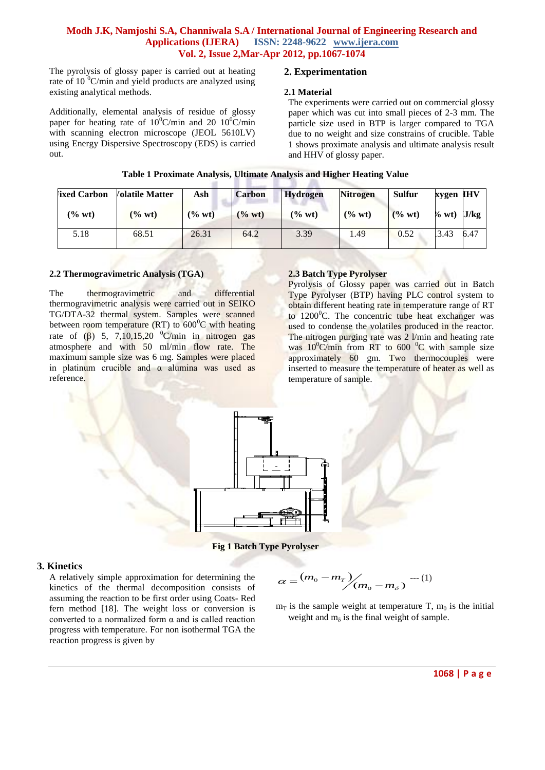The pyrolysis of glossy paper is carried out at heating rate of 10  $\mathrm{^0C/m}$  and yield products are analyzed using existing analytical methods.

Additionally, elemental analysis of residue of glossy paper for heating rate of  $10^0$ C/min and 20  $10^0$ C/min with scanning electron microscope (JEOL 5610LV) using Energy Dispersive Spectroscopy (EDS) is carried out.

# **2. Experimentation**

### **2.1 Material**

The experiments were carried out on commercial glossy paper which was cut into small pieces of 2-3 mm. The particle size used in BTP is larger compared to TGA due to no weight and size constrains of crucible. Table 1 shows proximate analysis and ultimate analysis result and HHV of glossy paper.

| <b>Tixed Carbon</b> | <b>Volatile Matter</b> | Ash    | <b>Carbon</b> | <b>Hydrogen</b> | <b>Nitrogen</b> | Sulfur                                | xygen IHV             |      |
|---------------------|------------------------|--------|---------------|-----------------|-----------------|---------------------------------------|-----------------------|------|
| $(\%$ wt)           | $(% \text{wt})$        | (% wt) | $(\%$ wt)     | $(\%$ wt)       | $(\%$ wt)       | $\left(\frac{6}{6} \text{ wt}\right)$ | $\sqrt{6}$ wt) $J/kg$ |      |
| 5.18                | 68.51                  | 26.31  | 64.2          | 3.39            | 1.49            | 0.52                                  | 3.43                  | 6.47 |

## **Table 1 Proximate Analysis, Ultimate Analysis and Higher Heating Value**

### **2.2 Thermogravimetric Analysis (TGA)**

The thermogravimetric and differential thermogravimetric analysis were carried out in SEIKO TG/DTA-32 thermal system. Samples were scanned between room temperature (RT) to  $600^{\circ}$ C with heating rate of  $(B)$  5, 7,10,15,20  $^{0}$ C/min in nitrogen gas atmosphere and with 50 ml/min flow rate. The maximum sample size was 6 mg. Samples were placed in platinum crucible and  $\alpha$  alumina was used as reference.

### **2.3 Batch Type Pyrolyser**

Pyrolysis of Glossy paper was carried out in Batch Type Pyrolyser (BTP) having PLC control system to obtain different heating rate in temperature range of RT to  $1200^{\circ}$ C. The concentric tube heat exchanger was used to condense the volatiles produced in the reactor. The nitrogen purging rate was 2 l/min and heating rate was  $10^{\circ}$ C/min from RT to 600  $^{\circ}$ C with sample size approximately 60 gm. Two thermocouples were inserted to measure the temperature of heater as well as temperature of sample.





### **3. Kinetics**

A relatively simple approximation for determining the kinetics of the thermal decomposition consists of assuming the reaction to be first order using Coats- Red fern method [18]. The weight loss or conversion is converted to a normalized form  $\alpha$  and is called reaction progress with temperature. For non isothermal TGA the reaction progress is given by

$$
\alpha = \frac{(m_0 - m_T)}{(m_0 - m_S)} \dots (1)
$$

 $m<sub>T</sub>$  is the sample weight at temperature T,  $m<sub>0</sub>$  is the initial weight and  $m_{\delta}$  is the final weight of sample.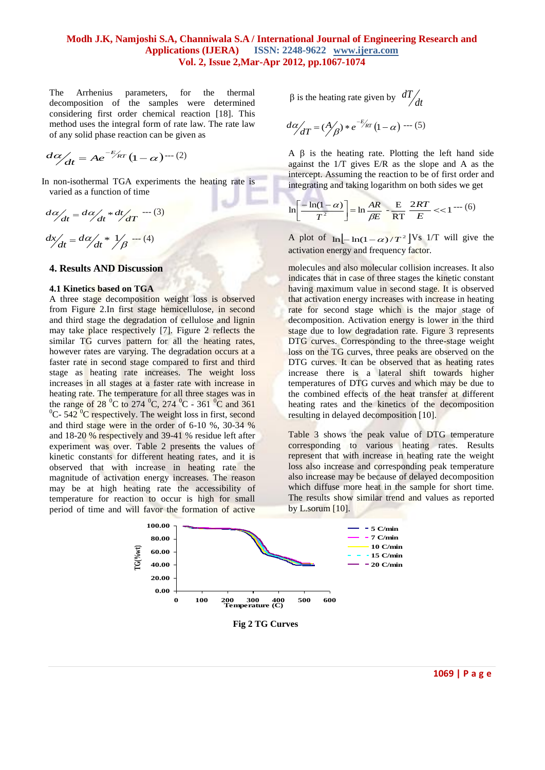The Arrhenius parameters, for the thermal decomposition of the samples were determined considering first order chemical reaction [18]. This method uses the integral form of rate law. The rate law of any solid phase reaction can be given as

$$
d\alpha/_{dt} = Ae^{-E/_{RT}}(1-\alpha)^{-(2)}
$$

 In non-isothermal TGA experiments the heating rate is varied as a function of time

$$
d\alpha/dt = d\alpha/dt * dt/dT
$$
  

$$
d\alpha/dt = d\alpha/dt * 1/\beta
$$

### **4. Results AND Discussion**

#### **4.1 Kinetics based on TGA**

A three stage decomposition weight loss is observed from Figure 2.In first stage hemicellulose, in second and third stage the degradation of cellulose and lignin may take place respectively [7]. Figure 2 reflects the similar TG curves pattern for all the heating rates, however rates are varying. The degradation occurs at a faster rate in second stage compared to first and third stage as heating rate increases. The weight loss increases in all stages at a faster rate with increase in heating rate. The temperature for all three stages was in the range of 28  $^{\circ}$ C to 274  $^{\circ}$ C, 274  $^{\circ}$ C - 361  $^{\circ}$ C and 361  ${}^{0}C$ - 542  ${}^{0}C$  respectively. The weight loss in first, second and third stage were in the order of 6-10 %, 30-34 % and 18-20 % respectively and 39-41 % residue left after experiment was over. Table 2 presents the values of kinetic constants for different heating rates, and it is observed that with increase in heating rate the magnitude of activation energy increases. The reason may be at high heating rate the accessibility of temperature for reaction to occur is high for small period of time and will favor the formation of active

 $\beta$  is the heating rate given by  $\frac{dI}{dt}$ *dT*

$$
d\alpha/_{dT} = (\frac{A}{\beta}) * e^{-E/_{RT}} (1 - \alpha) - (5)
$$

A  $\beta$  is the heating rate. Plotting the left hand side against the 1/T gives E/R as the slope and A as the intercept. Assuming the reaction to be of first order and integrating and taking logarithm on both sides we get

$$
\ln\left[\frac{-\ln(1-\alpha)}{T^2}\right] = \ln\frac{AR}{\beta E} - \frac{E}{RT}\frac{2RT}{E} < 1 \cdots (6)
$$

A plot of  $\ln[-\ln(1-\alpha)/T^2]$ <sup>Vs</sup> 1/T will give the activation energy and frequency factor.

molecules and also molecular collision increases. It also indicates that in case of three stages the kinetic constant having maximum value in second stage. It is observed that activation energy increases with increase in heating rate for second stage which is the major stage of decomposition. Activation energy is lower in the third stage due to low degradation rate. Figure 3 represents DTG curves. Corresponding to the three-stage weight loss on the TG curves, three peaks are observed on the DTG curves. It can be observed that as heating rates increase there is a lateral shift towards higher temperatures of DTG curves and which may be due to the combined effects of the heat transfer at different heating rates and the kinetics of the decomposition resulting in delayed decomposition [10].

Table 3 shows the peak value of DTG temperature corresponding to various heating rates. Results represent that with increase in heating rate the weight loss also increase and corresponding peak temperature also increase may be because of delayed decomposition which diffuse more heat in the sample for short time. The results show similar trend and values as reported by L.sorum  $[10]$ .

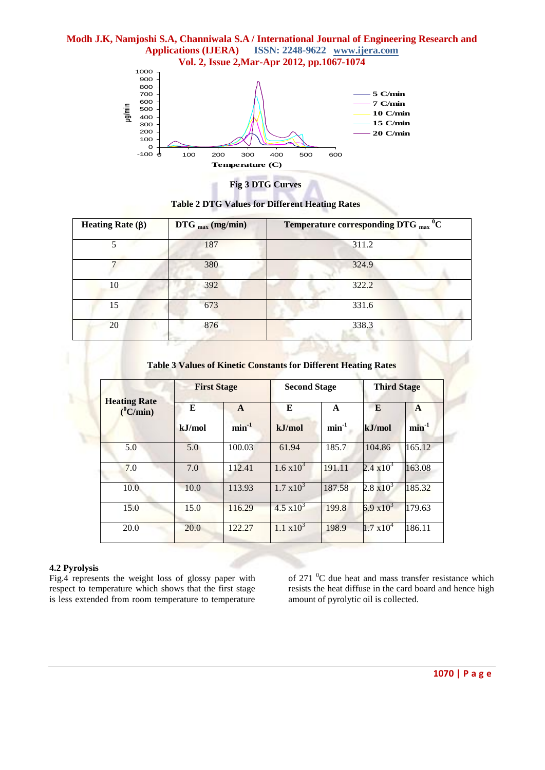



**Fig 3 DTG Curves**

**Table 2 DTG Values for Different Heating Rates** 

| Heating Rate $(\beta)$ | $\bf DTG$ <sub>max</sub> (mg/min) | Temperature corresponding DTG $_{\text{max}}$ <sup>0</sup> C |  |  |  |
|------------------------|-----------------------------------|--------------------------------------------------------------|--|--|--|
|                        | 187                               | 311.2                                                        |  |  |  |
|                        | 380                               | 324.9                                                        |  |  |  |
| 10                     | 392                               | 322.2                                                        |  |  |  |
| 15                     | 673                               | 331.6                                                        |  |  |  |
| 20                     | 876                               | 338.3                                                        |  |  |  |

## **Table 3 Values of Kinetic Constants for Different Heating Rates**

|                                    | <b>First Stage</b> |              | <b>Second Stage</b>  |              |                     | <b>Third Stage</b> |  |
|------------------------------------|--------------------|--------------|----------------------|--------------|---------------------|--------------------|--|
| <b>Heating Rate</b><br>$(^0C/min)$ | E                  | $\mathbf{A}$ | E                    | $\mathbf{A}$ | E                   | $\mathbf{A}$       |  |
|                                    | kJ/mol             | $min-1$      | kJ/mol               | $min^{-1}$   | kJ/mol              | $min-1$            |  |
| 5.0                                | 5.0                | 100.03       | 61.94                | 185.7        | 104.86              | 165.12             |  |
| 7.0                                | 7.0                | 112.41       | $1.6 \times 10^{3}$  | 191.11       | $2.4 \times 10^{3}$ | 163.08             |  |
| 10.0                               | 10.0               | 113.93       | $1.7 \times 10^3$    | 187.58       | $2.8 \times 10^{3}$ | 185.32             |  |
| 15.0                               | 15.0               | 116.29       | $4.5 \times 10^{3}$  | 199.8        | 6.9 $x10^3$         | 179.63             |  |
| 20.0                               | 20.0               | 122.27       | $1.1 \text{ x} 10^3$ | 198.9        | $1.7 \times 10^4$   | 186.11             |  |

### **4.2 Pyrolysis**

Fig.4 represents the weight loss of glossy paper with respect to temperature which shows that the first stage is less extended from room temperature to temperature of 271 $\mathrm{^{0}C}$  due heat and mass transfer resistance which resists the heat diffuse in the card board and hence high amount of pyrolytic oil is collected.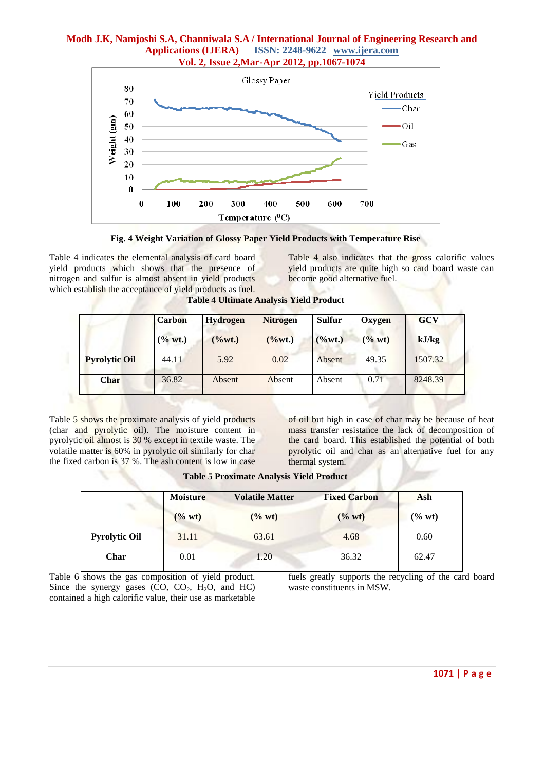

**Fig. 4 Weight Variation of Glossy Paper Yield Products with Temperature Rise**

Table 4 indicates the elemental analysis of card board yield products which shows that the presence of nitrogen and sulfur is almost absent in yield products which establish the acceptance of yield products as fuel.

Table 4 also indicates that the gross calorific values yield products are quite high so card board waste can become good alternative fuel.

| <b>Table 4 Ultimate Analysis Yield Product</b> |  |  |
|------------------------------------------------|--|--|

|                      | <b>Carbon</b><br>$(\%$ wt.) | <b>Hydrogen</b><br>$(\%$ wt.) | <b>Nitrogen</b><br>$(\%wt.)$ | <b>Sulfur</b><br>$(\%wt.)$ | Oxygen<br>$(\%$ wt) | <b>GCV</b><br>kJ/kg |
|----------------------|-----------------------------|-------------------------------|------------------------------|----------------------------|---------------------|---------------------|
| <b>Pyrolytic Oil</b> | 44.11                       | 5.92                          | 0.02                         | Absent                     | 49.35               | 1507.32             |
| <b>Char</b>          | 36.82                       | Absent                        | Absent                       | Absent                     | 0.71                | 8248.39             |

Table 5 shows the proximate analysis of yield products (char and pyrolytic oil). The moisture content in pyrolytic oil almost is 30 % except in textile waste. The volatile matter is 60% in pyrolytic oil similarly for char the fixed carbon is 37 %. The ash content is low in case

of oil but high in case of char may be because of heat mass transfer resistance the lack of decomposition of the card board. This established the potential of both pyrolytic oil and char as an alternative fuel for any thermal system.

|                      | <b>Moisture</b> | <b>Volatile Matter</b> | <b>Fixed Carbon</b> | Ash       |  |
|----------------------|-----------------|------------------------|---------------------|-----------|--|
|                      | $(\%$ wt)       | $(\%$ wt               | $(\%$ wt)           | $(\%$ wt) |  |
| <b>Pyrolytic Oil</b> | 31.11           | 63.61                  | 4.68                | 0.60      |  |
| Char                 | 0.01            | 1.20                   | 36.32               | 62.47     |  |

Table 6 shows the gas composition of yield product. Since the synergy gases  $(CO, CO<sub>2</sub>, H<sub>2</sub>O, and HC)$ contained a high calorific value, their use as marketable

fuels greatly supports the recycling of the card board waste constituents in MSW.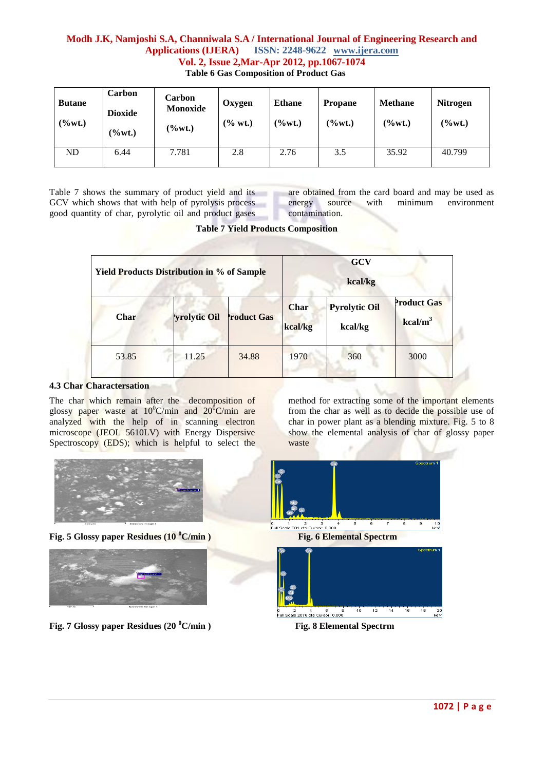| <b>Table 6 Gas Composition of Product Gas</b> |  |
|-----------------------------------------------|--|
|-----------------------------------------------|--|

| <b>Butane</b><br>(%wt.) | Carbon<br><b>Dioxide</b><br>$(\%wt.)$ | Carbon<br><b>Monoxide</b><br>$(\%wt.)$ | Oxygen<br>$(\%$ wt.) | <b>Ethane</b><br>$(\%wt.)$ | <b>Propane</b><br>$(\%wt.)$ | <b>Methane</b><br>$\frac{6}{6}$ wt.) | <b>Nitrogen</b><br>$(\%wt.)$ |
|-------------------------|---------------------------------------|----------------------------------------|----------------------|----------------------------|-----------------------------|--------------------------------------|------------------------------|
| ND                      | 6.44                                  | 7.781                                  | 2.8                  | 2.76                       | 3.5                         | 35.92                                | 40.799                       |

Table 7 shows the summary of product yield and its GCV which shows that with help of pyrolysis process good quantity of char, pyrolytic oil and product gases

are obtained from the card board and may be used as energy source with minimum environment contamination.

| <b>Table 7 Yield Products Composition</b> |  |
|-------------------------------------------|--|
|-------------------------------------------|--|

| <b>Yield Products Distribution in % of Sample</b> |              |                   | <b>GCV</b><br>kcal/kg  |                                 |                                    |  |
|---------------------------------------------------|--------------|-------------------|------------------------|---------------------------------|------------------------------------|--|
| <b>Char</b>                                       | yrolytic Oil | <b>roduct Gas</b> | <b>Char</b><br>kcal/kg | <b>Pyrolytic Oil</b><br>kcal/kg | Product Gas<br>kcal/m <sup>3</sup> |  |
| 53.85                                             | 11.25        | 34.88             | 1970                   | 360                             | 3000                               |  |

## **4.3 Char Charactersation**

The char which remain after the decomposition of glossy paper waste at  $10^0$ C/min and  $20^0$ C/min are analyzed with the help of in scanning electron microscope (JEOL 5610LV) with Energy Dispersive Spectroscopy (EDS); which is helpful to select the



**Fig. 5 Glossy paper Residues (10 <sup>0</sup>C/min ) Fig. 6 Elemental Spectrm**



**Fig. 7 Glossy paper Residues (20 <sup>0</sup>C/min ) Fig. 8 Elemental Spectrm**

method for extracting some of the important elements from the char as well as to decide the possible use of char in power plant as a blending mixture. Fig. 5 to 8 show the elemental analysis of char of glossy paper waste



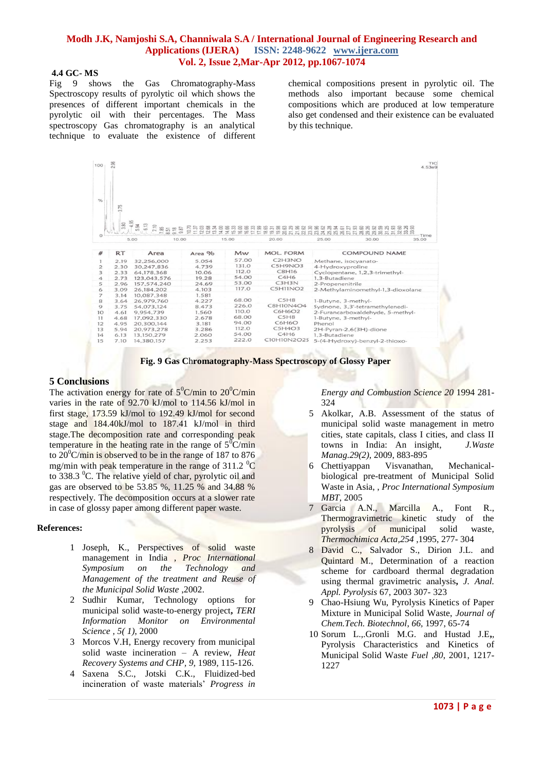### **4.4 GC- MS**

Fig 9 shows the Gas Chromatography-Mass Spectroscopy results of pyrolytic oil which shows the presences of different important chemicals in the pyrolytic oil with their percentages. The Mass spectroscopy Gas chromatography is an analytical technique to evaluate the existence of different chemical compositions present in pyrolytic oil. The methods also important because some chemical compositions which are produced at low temperature also get condensed and their existence can be evaluated by this technique.

| 100            | 2.96         |                                       |                             |       |                                  |                        |                                   | TIC<br>4.53e9 |
|----------------|--------------|---------------------------------------|-----------------------------|-------|----------------------------------|------------------------|-----------------------------------|---------------|
| %              | 3.75<br>3.80 | 95<br>35                              | 38<br>$\overline{8}$        | 15.33 |                                  |                        |                                   |               |
| $\Omega$       |              | $\frac{8.51}{9.18}$<br>$\sim$<br>5.00 | $\sim$<br>$\sigma$<br>10.00 | 15.00 | 20.00                            | 25.00                  | 30.00                             | Time<br>35.00 |
| #              | <b>RT</b>    | Area                                  | $Area$ %                    | Mw    | <b>MOL. FORM</b>                 |                        | <b>COMPOUND NAME</b>              |               |
|                | 2.19         | 32,256,000                            | 5.054                       | 57.00 | C <sub>2</sub> H <sub>3</sub> NO | Methane, isocyanato-   |                                   |               |
| $\overline{2}$ | 2.30         | 30,247,836                            | 4.739                       | 131.0 | C5H9NO3                          | 4-Hydroxyproline       |                                   |               |
| 3              | 2.33         | 64,178,368                            | 10.06                       | 112.0 | C8H16                            |                        | Cyclopentane, 1,2,3-trimethyl-    |               |
| 4              | 2.73         | 123.043.576                           | 19.28                       | 54.00 | C4H6                             | 1.3-Butadiene          |                                   |               |
| 5              | 2.96         | 157, 574, 240                         | 24.69                       | 53.00 | C3H3N                            | 2-Propenenitrile       |                                   |               |
| 6              | 3.09         | 26,184,202                            | 4.103                       | 117.0 | <b>C5H11NO2</b>                  |                        | 2-Methylaminomethyl-1,3-dioxolane |               |
| 7<br>8         | 3.14<br>3.64 | 10,087,348<br>26,979,760              | 1.581<br>4.227              | 68.00 | C5H8                             | 1-Butyne, 3-methyl-    |                                   |               |
| 9              | 3.75         | 54,073,124                            | 8.473                       | 226.0 | C8H10N4O4                        |                        | Sydnone, 3,3'-tetramethylenedi-   |               |
| 10             | 4.61         | 9,954,739                             | 1.560                       | 110.0 | C6H6O2                           |                        | 2-Furancarboxaldehyde, 5-methyl-  |               |
| 11             | 4.68         | 17,092,330                            | 2.678                       | 68.00 | C5H8                             | 1-Butyne, 3-methyl-    |                                   |               |
| 12             | 4.95         | 20,300,144                            | 3.181                       | 94.00 | C6H6O                            | Phenol                 |                                   |               |
| 13             | 5.94         | 20,973,278                            | 3.286                       | 112.0 | C5H4O3                           | 2H-Pyran-2,6(3H)-dione |                                   |               |
| 14             | 6.13         | 13,150,279                            | 2.060                       | 54.00 | C4H6                             | 1.3-Butadiene          |                                   |               |
| 15             | 7.10         | 14,380,157                            | 2.253                       | 222.0 | C10H10N2O2S                      |                        | 5-(4-Hydroxy)-benzyl-2-thioxo-    |               |



### **5 Conclusions**

The activation energy for rate of  $5^0$ C/min to  $20^0$ C/min varies in the rate of 92.70 kJ/mol to 114.56 kJ/mol in first stage, 173.59 kJ/mol to 192.49 kJ/mol for second stage and 184.40kJ/mol to 187.41 kJ/mol in third stage.The decomposition rate and corresponding peak temperature in the heating rate in the range of  $5\degree C/min$ to  $20^{\circ}$ C/min is observed to be in the range of 187 to 876 mg/min with peak temperature in the range of  $311.2 \text{ °C}$ to  $338.3$   $\mathrm{^0C}$ . The relative yield of char, pyrolytic oil and gas are observed to be 53.85 %, 11.25 % and 34.88 % respectively. The decomposition occurs at a slower rate in case of glossy paper among different paper waste.

### **References:**

- 1 Joseph, K., Perspectives of solid waste management in India , *Proc International*<br>Symposium on the Technology and *Symposium on the Technology and Management of the treatment and Reuse of the Municipal Solid Waste* ,2002.
- 2 Sudhir Kumar, Technology options for municipal solid waste-to-energy project**,** *TERI Information Monitor on Environmental Science , 5( 1)*, 2000
- 3 Morcos V.H, Energy recovery from municipal solid waste incineration – A review, *Heat Recovery Systems and CHP, 9,* 1989, 115-126.
- 4 Saxena S.C., Jotski C.K., Fluidized-bed incineration of waste materials' *Progress in*

*Energy and Combustion Science 20* 1994 281- 324

- 5 Akolkar, A.B. Assessment of the status of municipal solid waste management in metro cities, state capitals, class I cities, and class II towns in India: An insight, *[J.Waste](http://www.sciencedirect.com/science?_ob=PublicationURL&_tockey=%23TOC%236017%232009%23999709997%23730198%23FLA%23&_cdi=6017&_pubType=J&view=c&_auth=y&_acct=C000050221&_version=1&_urlVersion=0&_userid=10&md5=64223ea106ef4d3735f21f6b141d1a01)  [Manag.2](http://www.sciencedirect.com/science?_ob=PublicationURL&_tockey=%23TOC%236017%232009%23999709997%23730198%23FLA%23&_cdi=6017&_pubType=J&view=c&_auth=y&_acct=C000050221&_version=1&_urlVersion=0&_userid=10&md5=64223ea106ef4d3735f21f6b141d1a01)9(2)*, 2009, 883-895
- 6 Chettiyappan Visvanathan, Mechanicalbiological pre-treatment of Municipal Solid Waste in Asia, , *Proc International Symposium MBT*, 2005
- 7 Garcia A.N., Marcilla A., Font R., Thermogravimetric kinetic study of the pyrolysis of municipal solid waste, *Thermochimica Acta,254* ,1995, 277- 304
- 8 David C., Salvador S., Dirion J.L. and Quintard M., Determination of a reaction scheme for cardboard thermal degradation using thermal gravimetric analysis**,** *J. Anal. Appl. Pyrolysis* 67, 2003 307-/323
- 9 Chao-Hsiung Wu, Pyrolysis Kinetics of Paper Mixture in Municipal Solid Waste, *Journal of Chem.Tech. Biotechnol*, *66,* 1997, 65-74
- 10 Sorum L.,.Gronli M.G. and Hustad J.E**,**, Pyrolysis Characteristics and Kinetics of Municipal Solid Waste *Fuel ,80*, 2001, 1217- 1227